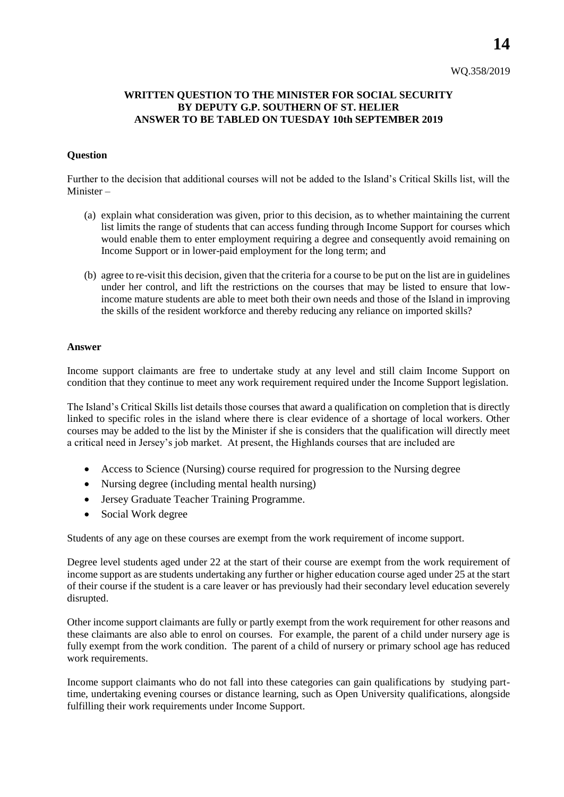## **WRITTEN QUESTION TO THE MINISTER FOR SOCIAL SECURITY BY DEPUTY G.P. SOUTHERN OF ST. HELIER ANSWER TO BE TABLED ON TUESDAY 10th SEPTEMBER 2019**

## **Question**

Further to the decision that additional courses will not be added to the Island's Critical Skills list, will the Minister –

- (a) explain what consideration was given, prior to this decision, as to whether maintaining the current list limits the range of students that can access funding through Income Support for courses which would enable them to enter employment requiring a degree and consequently avoid remaining on Income Support or in lower-paid employment for the long term; and
- (b) agree to re-visit this decision, given that the criteria for a course to be put on the list are in guidelines under her control, and lift the restrictions on the courses that may be listed to ensure that lowincome mature students are able to meet both their own needs and those of the Island in improving the skills of the resident workforce and thereby reducing any reliance on imported skills?

## **Answer**

Income support claimants are free to undertake study at any level and still claim Income Support on condition that they continue to meet any work requirement required under the Income Support legislation.

The Island's Critical Skills list details those courses that award a qualification on completion that is directly linked to specific roles in the island where there is clear evidence of a shortage of local workers. Other courses may be added to the list by the Minister if she is considers that the qualification will directly meet a critical need in Jersey's job market. At present, the Highlands courses that are included are

- Access to Science (Nursing) course required for progression to the Nursing degree
- Nursing degree (including mental health nursing)
- Jersey Graduate Teacher Training Programme.
- Social Work degree

Students of any age on these courses are exempt from the work requirement of income support.

Degree level students aged under 22 at the start of their course are exempt from the work requirement of income support as are students undertaking any further or higher education course aged under 25 at the start of their course if the student is a care leaver or has previously had their secondary level education severely disrupted.

Other income support claimants are fully or partly exempt from the work requirement for other reasons and these claimants are also able to enrol on courses. For example, the parent of a child under nursery age is fully exempt from the work condition. The parent of a child of nursery or primary school age has reduced work requirements.

Income support claimants who do not fall into these categories can gain qualifications by studying parttime, undertaking evening courses or distance learning, such as Open University qualifications, alongside fulfilling their work requirements under Income Support.